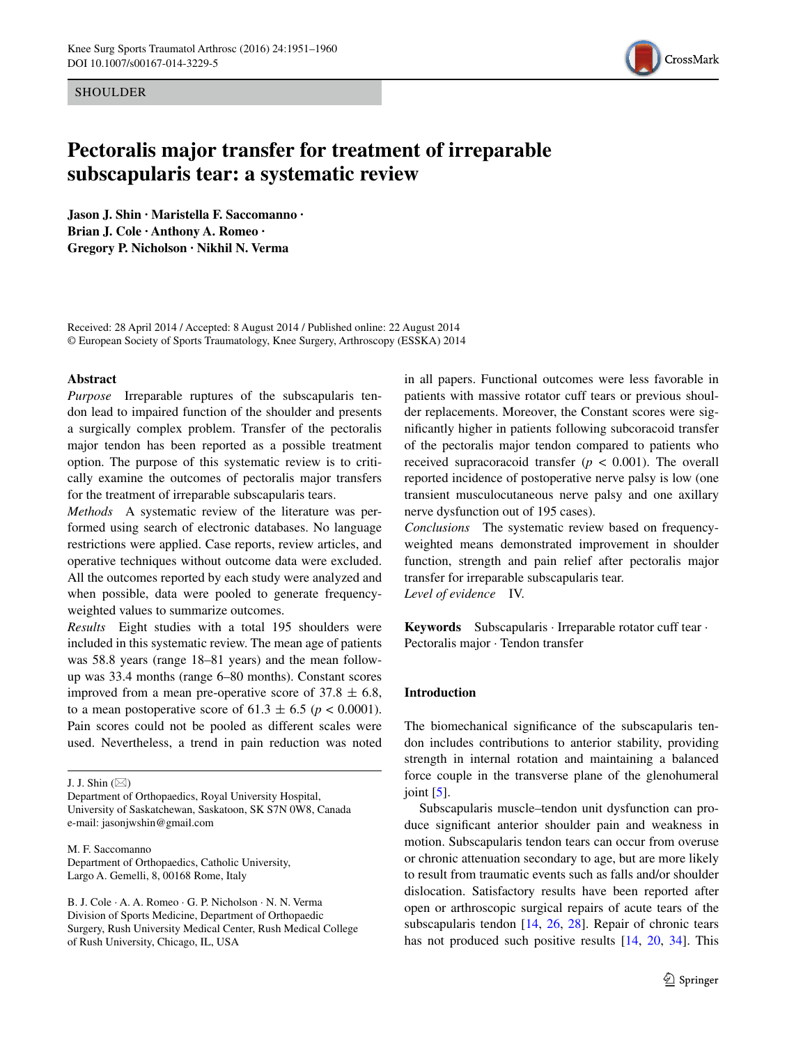SHOULDER



# **Pectoralis major transfer for treatment of irreparable subscapularis tear: a systematic review**

**Jason J. Shin · Maristella F. Saccomanno · Brian J. Cole · Anthony A. Romeo · Gregory P. Nicholson · Nikhil N. Verma**

Received: 28 April 2014 / Accepted: 8 August 2014 / Published online: 22 August 2014 © European Society of Sports Traumatology, Knee Surgery, Arthroscopy (ESSKA) 2014

## **Abstract**

*Purpose* Irreparable ruptures of the subscapularis tendon lead to impaired function of the shoulder and presents a surgically complex problem. Transfer of the pectoralis major tendon has been reported as a possible treatment option. The purpose of this systematic review is to critically examine the outcomes of pectoralis major transfers for the treatment of irreparable subscapularis tears.

*Methods* A systematic review of the literature was performed using search of electronic databases. No language restrictions were applied. Case reports, review articles, and operative techniques without outcome data were excluded. All the outcomes reported by each study were analyzed and when possible, data were pooled to generate frequencyweighted values to summarize outcomes.

*Results* Eight studies with a total 195 shoulders were included in this systematic review. The mean age of patients was 58.8 years (range 18–81 years) and the mean followup was 33.4 months (range 6–80 months). Constant scores improved from a mean pre-operative score of  $37.8 \pm 6.8$ , to a mean postoperative score of  $61.3 \pm 6.5$  ( $p < 0.0001$ ). Pain scores could not be pooled as different scales were used. Nevertheless, a trend in pain reduction was noted

J. J. Shin  $(\boxtimes)$ 

M. F. Saccomanno Department of Orthopaedics, Catholic University, Largo A. Gemelli, 8, 00168 Rome, Italy

B. J. Cole · A. A. Romeo · G. P. Nicholson · N. N. Verma Division of Sports Medicine, Department of Orthopaedic Surgery, Rush University Medical Center, Rush Medical College of Rush University, Chicago, IL, USA

in all papers. Functional outcomes were less favorable in patients with massive rotator cuff tears or previous shoulder replacements. Moreover, the Constant scores were significantly higher in patients following subcoracoid transfer of the pectoralis major tendon compared to patients who received supracoracoid transfer (*p* < 0.001). The overall reported incidence of postoperative nerve palsy is low (one transient musculocutaneous nerve palsy and one axillary nerve dysfunction out of 195 cases).

*Conclusions* The systematic review based on frequencyweighted means demonstrated improvement in shoulder function, strength and pain relief after pectoralis major transfer for irreparable subscapularis tear. *Level of evidence* IV.

**Keywords** Subscapularis · Irreparable rotator cuff tear · Pectoralis major · Tendon transfer

# **Introduction**

The biomechanical significance of the subscapularis tendon includes contributions to anterior stability, providing strength in internal rotation and maintaining a balanced force couple in the transverse plane of the glenohumeral joint [5].

Subscapularis muscle–tendon unit dysfunction can produce significant anterior shoulder pain and weakness in motion. Subscapularis tendon tears can occur from overuse or chronic attenuation secondary to age, but are more likely to result from traumatic events such as falls and/or shoulder dislocation. Satisfactory results have been reported after open or arthroscopic surgical repairs of acute tears of the subscapularis tendon [14, 26, 28]. Repair of chronic tears has not produced such positive results [14, 20, 34]. This

Department of Orthopaedics, Royal University Hospital, University of Saskatchewan, Saskatoon, SK S7N 0W8, Canada e-mail: jasonjwshin@gmail.com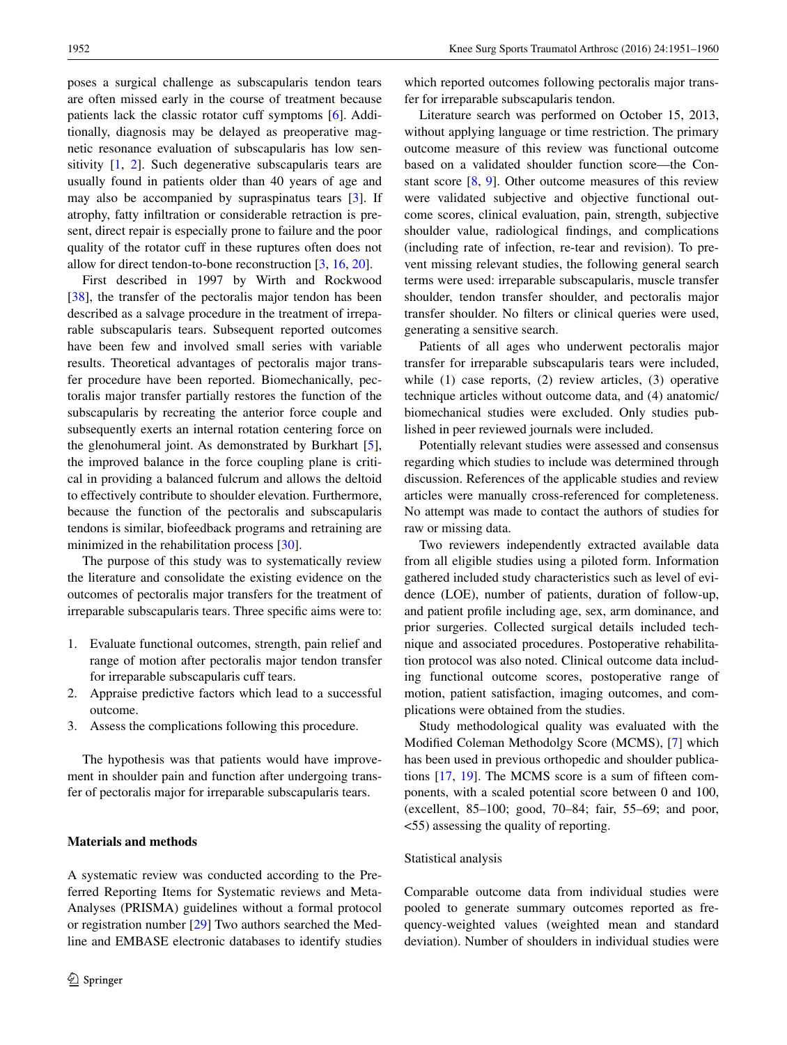poses a surgical challenge as subscapularis tendon tears are often missed early in the course of treatment because patients lack the classic rotator cuff symptoms [6]. Additionally, diagnosis may be delayed as preoperative magnetic resonance evaluation of subscapularis has low sensitivity [1, 2]. Such degenerative subscapularis tears are usually found in patients older than 40 years of age and may also be accompanied by supraspinatus tears [3]. If atrophy, fatty infiltration or considerable retraction is present, direct repair is especially prone to failure and the poor quality of the rotator cuff in these ruptures often does not allow for direct tendon-to-bone reconstruction [3, 16, 20].

First described in 1997 by Wirth and Rockwood [38], the transfer of the pectoralis major tendon has been described as a salvage procedure in the treatment of irreparable subscapularis tears. Subsequent reported outcomes have been few and involved small series with variable results. Theoretical advantages of pectoralis major transfer procedure have been reported. Biomechanically, pectoralis major transfer partially restores the function of the subscapularis by recreating the anterior force couple and subsequently exerts an internal rotation centering force on the glenohumeral joint. As demonstrated by Burkhart [5], the improved balance in the force coupling plane is critical in providing a balanced fulcrum and allows the deltoid to effectively contribute to shoulder elevation. Furthermore, because the function of the pectoralis and subscapularis tendons is similar, biofeedback programs and retraining are minimized in the rehabilitation process [30].

The purpose of this study was to systematically review the literature and consolidate the existing evidence on the outcomes of pectoralis major transfers for the treatment of irreparable subscapularis tears. Three specific aims were to:

- 1. Evaluate functional outcomes, strength, pain relief and range of motion after pectoralis major tendon transfer for irreparable subscapularis cuff tears.
- 2. Appraise predictive factors which lead to a successful outcome.
- 3. Assess the complications following this procedure.

The hypothesis was that patients would have improvement in shoulder pain and function after undergoing transfer of pectoralis major for irreparable subscapularis tears.

# **Materials and methods**

A systematic review was conducted according to the Preferred Reporting Items for Systematic reviews and Meta-Analyses (PRISMA) guidelines without a formal protocol or registration number [29] Two authors searched the Medline and EMBASE electronic databases to identify studies

which reported outcomes following pectoralis major transfer for irreparable subscapularis tendon.

Literature search was performed on October 15, 2013, without applying language or time restriction. The primary outcome measure of this review was functional outcome based on a validated shoulder function score—the Constant score [8, 9]. Other outcome measures of this review were validated subjective and objective functional outcome scores, clinical evaluation, pain, strength, subjective shoulder value, radiological findings, and complications (including rate of infection, re-tear and revision). To prevent missing relevant studies, the following general search terms were used: irreparable subscapularis, muscle transfer shoulder, tendon transfer shoulder, and pectoralis major transfer shoulder. No filters or clinical queries were used, generating a sensitive search.

Patients of all ages who underwent pectoralis major transfer for irreparable subscapularis tears were included, while (1) case reports, (2) review articles, (3) operative technique articles without outcome data, and (4) anatomic/ biomechanical studies were excluded. Only studies published in peer reviewed journals were included.

Potentially relevant studies were assessed and consensus regarding which studies to include was determined through discussion. References of the applicable studies and review articles were manually cross-referenced for completeness. No attempt was made to contact the authors of studies for raw or missing data.

Two reviewers independently extracted available data from all eligible studies using a piloted form. Information gathered included study characteristics such as level of evidence (LOE), number of patients, duration of follow-up, and patient profile including age, sex, arm dominance, and prior surgeries. Collected surgical details included technique and associated procedures. Postoperative rehabilitation protocol was also noted. Clinical outcome data including functional outcome scores, postoperative range of motion, patient satisfaction, imaging outcomes, and complications were obtained from the studies.

Study methodological quality was evaluated with the Modified Coleman Methodolgy Score (MCMS), [7] which has been used in previous orthopedic and shoulder publications [17, 19]. The MCMS score is a sum of fifteen components, with a scaled potential score between 0 and 100, (excellent, 85–100; good, 70–84; fair, 55–69; and poor, <55) assessing the quality of reporting.

## Statistical analysis

Comparable outcome data from individual studies were pooled to generate summary outcomes reported as frequency-weighted values (weighted mean and standard deviation). Number of shoulders in individual studies were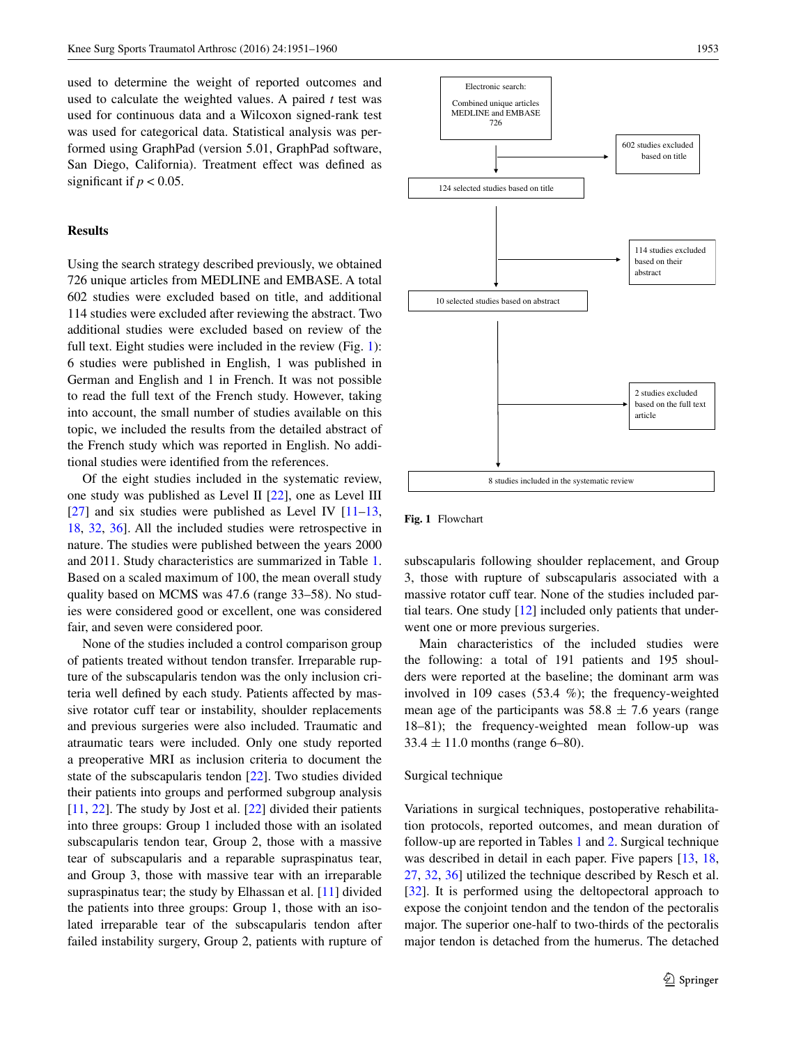used to determine the weight of reported outcomes and used to calculate the weighted values. A paired *t* test was used for continuous data and a Wilcoxon signed-rank test was used for categorical data. Statistical analysis was performed using GraphPad (version 5.01, GraphPad software, San Diego, California). Treatment effect was defined as significant if  $p < 0.05$ .

# **Results**

Using the search strategy described previously, we obtained 726 unique articles from MEDLINE and EMBASE. A total 602 studies were excluded based on title, and additional 114 studies were excluded after reviewing the abstract. Two additional studies were excluded based on review of the full text. Eight studies were included in the review (Fig. 1): 6 studies were published in English, 1 was published in German and English and 1 in French. It was not possible to read the full text of the French study. However, taking into account, the small number of studies available on this topic, we included the results from the detailed abstract of the French study which was reported in English. No additional studies were identified from the references.

Of the eight studies included in the systematic review, one study was published as Level II [22], one as Level III [27] and six studies were published as Level IV  $[11-13, 12]$ 18, 32, 36]. All the included studies were retrospective in nature. The studies were published between the years 2000 and 2011. Study characteristics are summarized in Table 1. Based on a scaled maximum of 100, the mean overall study quality based on MCMS was 47.6 (range 33–58). No studies were considered good or excellent, one was considered fair, and seven were considered poor.

None of the studies included a control comparison group of patients treated without tendon transfer. Irreparable rupture of the subscapularis tendon was the only inclusion criteria well defined by each study. Patients affected by massive rotator cuff tear or instability, shoulder replacements and previous surgeries were also included. Traumatic and atraumatic tears were included. Only one study reported a preoperative MRI as inclusion criteria to document the state of the subscapularis tendon [22]. Two studies divided their patients into groups and performed subgroup analysis [11, 22]. The study by Jost et al. [22] divided their patients into three groups: Group 1 included those with an isolated subscapularis tendon tear, Group 2, those with a massive tear of subscapularis and a reparable supraspinatus tear, and Group 3, those with massive tear with an irreparable supraspinatus tear; the study by Elhassan et al. [11] divided the patients into three groups: Group 1, those with an isolated irreparable tear of the subscapularis tendon after failed instability surgery, Group 2, patients with rupture of



**Fig. 1** Flowchart

subscapularis following shoulder replacement, and Group 3, those with rupture of subscapularis associated with a massive rotator cuff tear. None of the studies included partial tears. One study [12] included only patients that underwent one or more previous surgeries.

Main characteristics of the included studies were the following: a total of 191 patients and 195 shoulders were reported at the baseline; the dominant arm was involved in 109 cases (53.4 %); the frequency-weighted mean age of the participants was  $58.8 \pm 7.6$  years (range 18–81); the frequency-weighted mean follow-up was  $33.4 \pm 11.0$  months (range 6–80).

## Surgical technique

Variations in surgical techniques, postoperative rehabilitation protocols, reported outcomes, and mean duration of follow-up are reported in Tables 1 and 2. Surgical technique was described in detail in each paper. Five papers  $[13, 18,$ 27, 32, 36] utilized the technique described by Resch et al. [32]. It is performed using the deltopectoral approach to expose the conjoint tendon and the tendon of the pectoralis major. The superior one-half to two-thirds of the pectoralis major tendon is detached from the humerus. The detached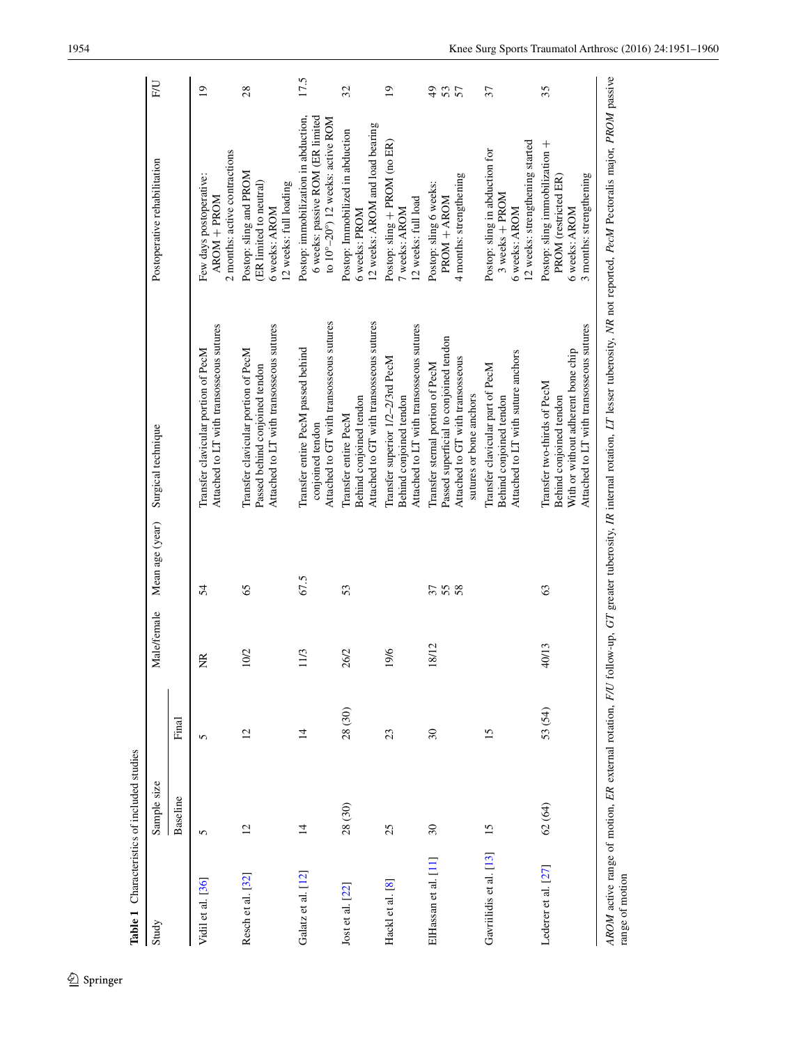| Table 1 Characteristics of included studies |                |                |             |                 |                                                                                                                                                                                           |                                                                                                              |                     |
|---------------------------------------------|----------------|----------------|-------------|-----------------|-------------------------------------------------------------------------------------------------------------------------------------------------------------------------------------------|--------------------------------------------------------------------------------------------------------------|---------------------|
| Study                                       | Sample size    |                | Male/female | Mean age (year) | Surgical technique                                                                                                                                                                        | Postoperative rehabilitation                                                                                 | E/U                 |
|                                             | Baseline       | Final          |             |                 |                                                                                                                                                                                           |                                                                                                              |                     |
| Vidil et al. [36]                           | 5              | 5              | ž           | 54              | Attached to LT with transosseous sutures<br>Transfer clavicular portion of PecM                                                                                                           | 2 months: active contractions<br>Few days postoperative:<br>AROM + PROM                                      | $\overline{0}$      |
| Resch et al. [32]                           | $\overline{c}$ | $\overline{c}$ | 10/2        | 65              | Attached to LT with transosseous sutures<br>Transfer clavicular portion of PecM<br>Passed behind conjoined tendon                                                                         | Postop: sling and PROM<br>(ER limited to neutral)<br>12 weeks: full loading<br>6 weeks: AROM                 | 28                  |
| Galatz et al. [12]                          | $\overline{4}$ | $\overline{4}$ | 11/3        | 67.5            | Attached to GT with transosseous sutures<br>Transfer entire PecM passed behind<br>conjoined tendon                                                                                        | Postop: immobilization in abduction,<br>6 weeks: passive ROM (ER limited<br>to 10°-20°) 12 weeks: active ROM | 17.5                |
| Jost et al. $[22]$                          | 28 (30)        | 28 (30)        | 26/2        | 53              | Attached to GT with transosseous sutures<br>Behind conjoined tendon<br>Transfer entire PecM                                                                                               | 12 weeks: AROM and load bearing<br>Postop: Immobilized in abduction<br>6 weeks: PROM                         | 32                  |
| Hackl et al. [8]                            | 25             | 23             | 19/6        |                 | Attached to LT with transosseous sutures<br>Transfer superior 1/2-2/3rd PecM<br>Behind conjoined tendon                                                                                   | Postop: sling + PROM (no ER)<br>12 weeks: full load<br>7 weeks: AROM                                         | $\overline{0}$      |
| ElHassan et al. [11]                        | $30\,$         | $30\,$         | 18/12       | 55<br>37<br>58  | Passed superficial to conjoined tendon<br>Attached to GT with transosseous<br>Transfer sternal portion of PecM<br>sutures or bone anchors                                                 | 4 months: strengthening<br>Postop: sling 6 weeks:<br>$PROM + AROM$                                           | $\frac{1}{2}$<br>57 |
| Gavrillidis et al. [13]                     | 15             | 15             |             |                 | Attached to LT with suture anchors<br>Transfer clavicular part of PecM<br>Behind conjoined tendon                                                                                         | 12 weeks: strengthening started<br>Postop: sling in abduction for<br>3 weeks + PROM<br>6 weeks: AROM         | 57                  |
| Lederer et al. [27]                         | 62(64)         | 53 (54)        | 40/13       | 63              | Attached to LT with transosseous sutures<br>With or without adherent bone chip<br>Transfer two-thirds of PecM<br>Behind conjoined tendon                                                  | Postop: sling immobilization +<br>3 months: strengthening<br>PROM (restricted ER)<br>6 weeks: AROM           | 35                  |
| range of motion                             |                |                |             |                 | AROM active range of motion, ER external rotation, F/U follow-up, GT greater tuberosity, IR internal rotation, LT lesser tuberosity, NR not reported, PecM Pectoralis major, PROM passive |                                                                                                              |                     |

 $\underline{\textcircled{\tiny 2}}$  Springer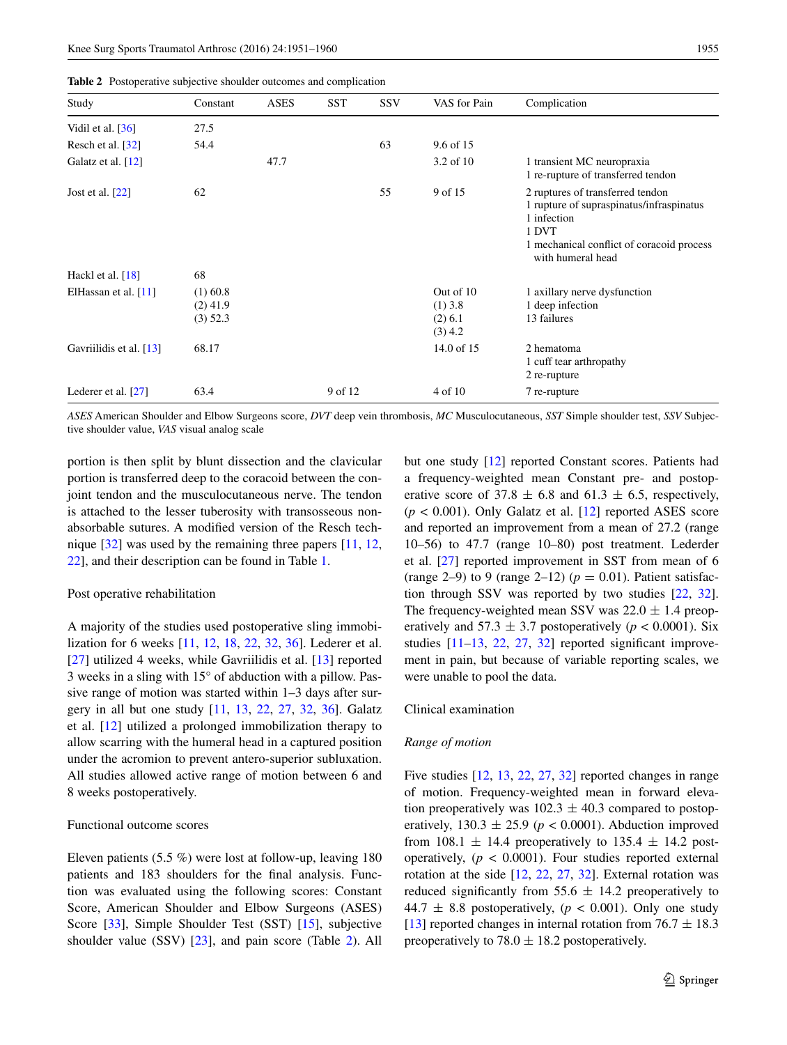|  | <b>Table 2</b> Postoperative subjective shoulder outcomes and complication |  |  |  |  |
|--|----------------------------------------------------------------------------|--|--|--|--|
|--|----------------------------------------------------------------------------|--|--|--|--|

| Study                     | Constant                               | <b>ASES</b> | <b>SST</b> | SSV | VAS for Pain                                     | Complication                                                                                                                                                           |
|---------------------------|----------------------------------------|-------------|------------|-----|--------------------------------------------------|------------------------------------------------------------------------------------------------------------------------------------------------------------------------|
| Vidil et al. $[36]$       | 27.5                                   |             |            |     |                                                  |                                                                                                                                                                        |
| Resch et al. $[32]$       | 54.4                                   |             |            | 63  | 9.6 of 15                                        |                                                                                                                                                                        |
| Galatz et al. [12]        |                                        | 47.7        |            |     | 3.2 of 10                                        | 1 transient MC neuropraxia<br>1 re-rupture of transferred tendon                                                                                                       |
| Jost et al. $[22]$        | 62                                     |             |            | 55  | 9 of 15                                          | 2 ruptures of transferred tendon<br>1 rupture of supraspinatus/infraspinatus<br>1 infection<br>1 DVT<br>1 mechanical conflict of coracoid process<br>with humeral head |
| Hackl et al. [18]         | 68                                     |             |            |     |                                                  |                                                                                                                                                                        |
| ElHassan et al. $[11]$    | $(1)$ 60.8<br>$(2)$ 41.9<br>$(3)$ 52.3 |             |            |     | Out of 10<br>$(1)$ 3.8<br>$(2)$ 6.1<br>$(3)$ 4.2 | 1 axillary nerve dysfunction<br>1 deep infection<br>13 failures                                                                                                        |
| Gavrillidis et al. $[13]$ | 68.17                                  |             |            |     | 14.0 of 15                                       | 2 hematoma<br>1 cuff tear arthropathy<br>2 re-rupture                                                                                                                  |
| Lederer et al. $[27]$     | 63.4                                   |             | 9 of 12    |     | 4 of 10                                          | 7 re-rupture                                                                                                                                                           |

*ASES* American Shoulder and Elbow Surgeons score, *DVT* deep vein thrombosis, *MC* Musculocutaneous, *SST* Simple shoulder test, *SSV* Subjective shoulder value, *VAS* visual analog scale

portion is then split by blunt dissection and the clavicular portion is transferred deep to the coracoid between the conjoint tendon and the musculocutaneous nerve. The tendon is attached to the lesser tuberosity with transosseous nonabsorbable sutures. A modified version of the Resch technique [32] was used by the remaining three papers [11, 12, 22], and their description can be found in Table 1.

## Post operative rehabilitation

A majority of the studies used postoperative sling immobilization for 6 weeks [11, 12, 18, 22, 32, 36]. Lederer et al. [27] utilized 4 weeks, while Gavriilidis et al. [13] reported 3 weeks in a sling with 15° of abduction with a pillow. Passive range of motion was started within 1–3 days after surgery in all but one study  $[11, 13, 22, 27, 32, 36]$ . Galatz et al. [12] utilized a prolonged immobilization therapy to allow scarring with the humeral head in a captured position under the acromion to prevent antero-superior subluxation. All studies allowed active range of motion between 6 and 8 weeks postoperatively.

## Functional outcome scores

Eleven patients (5.5 %) were lost at follow-up, leaving 180 patients and 183 shoulders for the final analysis. Function was evaluated using the following scores: Constant Score, American Shoulder and Elbow Surgeons (ASES) Score [33], Simple Shoulder Test (SST) [15], subjective shoulder value (SSV) [23], and pain score (Table 2). All but one study [12] reported Constant scores. Patients had a frequency-weighted mean Constant pre- and postoperative score of 37.8  $\pm$  6.8 and 61.3  $\pm$  6.5, respectively,  $(p < 0.001)$ . Only Galatz et al. [12] reported ASES score and reported an improvement from a mean of 27.2 (range 10–56) to 47.7 (range 10–80) post treatment. Lederder et al. [27] reported improvement in SST from mean of 6 (range 2–9) to 9 (range 2–12) ( $p = 0.01$ ). Patient satisfaction through SSV was reported by two studies [22, 32]. The frequency-weighted mean SSV was  $22.0 \pm 1.4$  preoperatively and  $57.3 \pm 3.7$  postoperatively ( $p < 0.0001$ ). Six studies [11–13, 22, 27, 32] reported significant improvement in pain, but because of variable reporting scales, we were unable to pool the data.

## Clinical examination

#### *Range of motion*

Five studies [12, 13, 22, 27, 32] reported changes in range of motion. Frequency-weighted mean in forward elevation preoperatively was  $102.3 \pm 40.3$  compared to postoperatively,  $130.3 \pm 25.9$  ( $p < 0.0001$ ). Abduction improved from 108.1  $\pm$  14.4 preoperatively to 135.4  $\pm$  14.2 postoperatively,  $(p < 0.0001)$ . Four studies reported external rotation at the side [12, 22, 27, 32]. External rotation was reduced significantly from  $55.6 \pm 14.2$  preoperatively to 44.7  $\pm$  8.8 postoperatively, ( $p < 0.001$ ). Only one study [13] reported changes in internal rotation from  $76.7 \pm 18.3$ preoperatively to 78.0  $\pm$  18.2 postoperatively.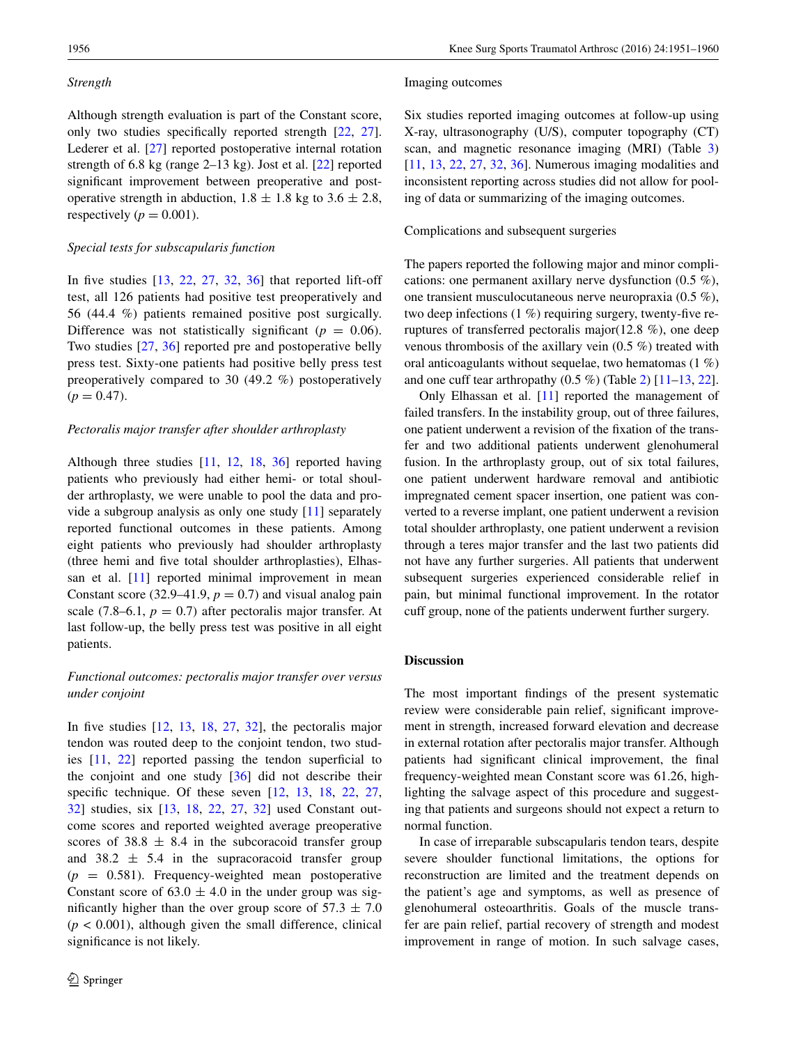#### *Strength*

Although strength evaluation is part of the Constant score, only two studies specifically reported strength [22, 27]. Lederer et al. [27] reported postoperative internal rotation strength of 6.8 kg (range 2–13 kg). Jost et al. [22] reported significant improvement between preoperative and postoperative strength in abduction,  $1.8 \pm 1.8$  kg to  $3.6 \pm 2.8$ , respectively ( $p = 0.001$ ).

# *Special tests for subscapularis function*

In five studies  $[13, 22, 27, 32, 36]$  that reported lift-off test, all 126 patients had positive test preoperatively and 56 (44.4 %) patients remained positive post surgically. Difference was not statistically significant ( $p = 0.06$ ). Two studies [27, 36] reported pre and postoperative belly press test. Sixty-one patients had positive belly press test preoperatively compared to 30 (49.2 %) postoperatively  $(p = 0.47)$ .

## *Pectoralis major transfer after shoulder arthroplasty*

Although three studies [11, 12, 18, 36] reported having patients who previously had either hemi- or total shoulder arthroplasty, we were unable to pool the data and provide a subgroup analysis as only one study [11] separately reported functional outcomes in these patients. Among eight patients who previously had shoulder arthroplasty (three hemi and five total shoulder arthroplasties), Elhassan et al. [11] reported minimal improvement in mean Constant score (32.9–41.9,  $p = 0.7$ ) and visual analog pain scale  $(7.8-6.1, p = 0.7)$  after pectoralis major transfer. At last follow-up, the belly press test was positive in all eight patients.

# *Functional outcomes: pectoralis major transfer over versus under conjoint*

In five studies [12, 13, 18, 27, 32], the pectoralis major tendon was routed deep to the conjoint tendon, two studies [11, 22] reported passing the tendon superficial to the conjoint and one study [36] did not describe their specific technique. Of these seven [12, 13, 18, 22, 27, 32] studies, six [13, 18, 22, 27, 32] used Constant outcome scores and reported weighted average preoperative scores of  $38.8 \pm 8.4$  in the subcoracoid transfer group and  $38.2 \pm 5.4$  in the supracoracoid transfer group  $(p = 0.581)$ . Frequency-weighted mean postoperative Constant score of  $63.0 \pm 4.0$  in the under group was significantly higher than the over group score of  $57.3 \pm 7.0$  $(p < 0.001)$ , although given the small difference, clinical significance is not likely.

## Imaging outcomes

Six studies reported imaging outcomes at follow-up using X-ray, ultrasonography (U/S), computer topography (CT) scan, and magnetic resonance imaging (MRI) (Table 3) [11, 13, 22, 27, 32, 36]. Numerous imaging modalities and inconsistent reporting across studies did not allow for pooling of data or summarizing of the imaging outcomes.

## Complications and subsequent surgeries

The papers reported the following major and minor complications: one permanent axillary nerve dysfunction (0.5 %), one transient musculocutaneous nerve neuropraxia (0.5 %), two deep infections (1 %) requiring surgery, twenty-five reruptures of transferred pectoralis major(12.8 %), one deep venous thrombosis of the axillary vein (0.5 %) treated with oral anticoagulants without sequelae, two hematomas (1 %) and one cuff tear arthropathy  $(0.5 \%)$  (Table 2)  $[11–13, 22]$ .

Only Elhassan et al. [11] reported the management of failed transfers. In the instability group, out of three failures, one patient underwent a revision of the fixation of the transfer and two additional patients underwent glenohumeral fusion. In the arthroplasty group, out of six total failures, one patient underwent hardware removal and antibiotic impregnated cement spacer insertion, one patient was converted to a reverse implant, one patient underwent a revision total shoulder arthroplasty, one patient underwent a revision through a teres major transfer and the last two patients did not have any further surgeries. All patients that underwent subsequent surgeries experienced considerable relief in pain, but minimal functional improvement. In the rotator cuff group, none of the patients underwent further surgery.

# **Discussion**

The most important findings of the present systematic review were considerable pain relief, significant improvement in strength, increased forward elevation and decrease in external rotation after pectoralis major transfer. Although patients had significant clinical improvement, the final frequency-weighted mean Constant score was 61.26, highlighting the salvage aspect of this procedure and suggesting that patients and surgeons should not expect a return to normal function.

In case of irreparable subscapularis tendon tears, despite severe shoulder functional limitations, the options for reconstruction are limited and the treatment depends on the patient's age and symptoms, as well as presence of glenohumeral osteoarthritis. Goals of the muscle transfer are pain relief, partial recovery of strength and modest improvement in range of motion. In such salvage cases,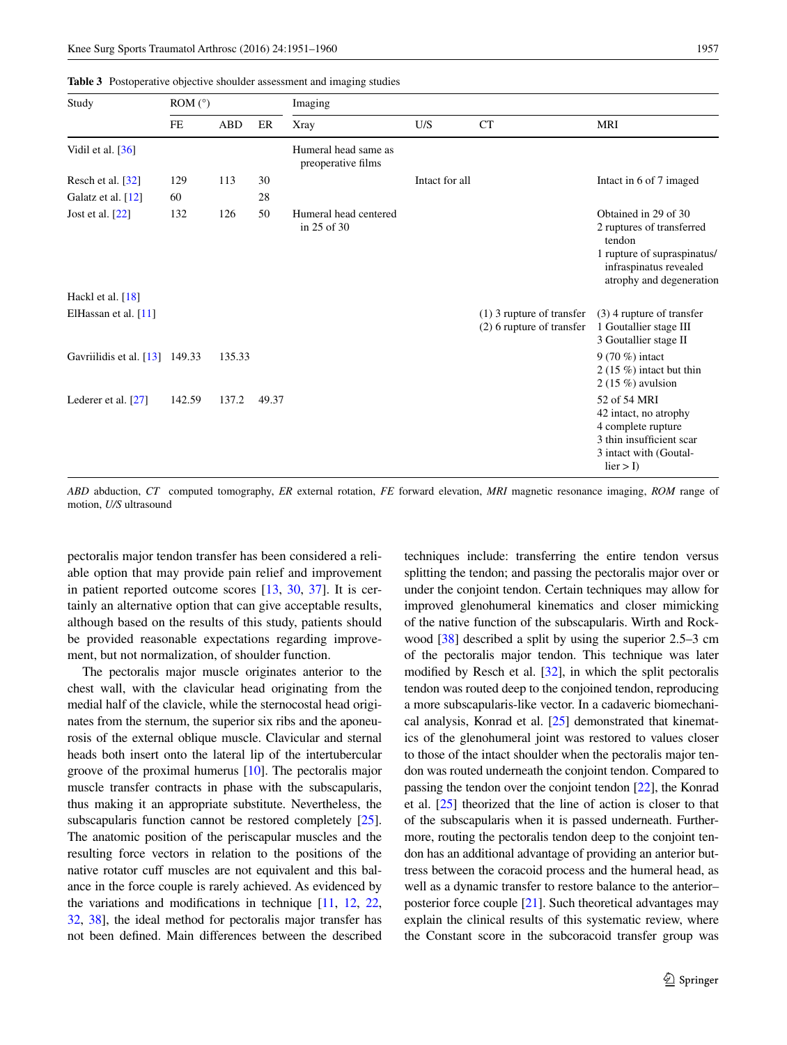**Table 3** Postoperative objective shoulder assessment and imaging studies

| Study                          | ROM $(^\circ)$ |            |       | Imaging                                    |                |                                                            |                                                                                                                                                  |  |
|--------------------------------|----------------|------------|-------|--------------------------------------------|----------------|------------------------------------------------------------|--------------------------------------------------------------------------------------------------------------------------------------------------|--|
|                                | FE             | <b>ABD</b> | ER    | Xray                                       | U/S            | CT                                                         | <b>MRI</b>                                                                                                                                       |  |
| Vidil et al. $[36]$            |                |            |       | Humeral head same as<br>preoperative films |                |                                                            |                                                                                                                                                  |  |
| Resch et al. $[32]$            | 129            | 113        | 30    |                                            | Intact for all |                                                            | Intact in 6 of 7 imaged                                                                                                                          |  |
| Galatz et al. [12]             | 60             |            | 28    |                                            |                |                                                            |                                                                                                                                                  |  |
| Jost et al. $[22]$             | 132            | 126        | 50    | Humeral head centered<br>in 25 of 30       |                |                                                            | Obtained in 29 of 30<br>2 ruptures of transferred<br>tendon<br>1 rupture of supraspinatus/<br>infraspinatus revealed<br>atrophy and degeneration |  |
| Hackl et al. [18]              |                |            |       |                                            |                |                                                            |                                                                                                                                                  |  |
| ElHassan et al. [11]           |                |            |       |                                            |                | $(1)$ 3 rupture of transfer<br>$(2)$ 6 rupture of transfer | $(3)$ 4 rupture of transfer<br>1 Goutallier stage III<br>3 Goutallier stage II                                                                   |  |
| Gavrillidis et al. [13] 149.33 |                | 135.33     |       |                                            |                |                                                            | 9 (70 $%$ ) intact<br>$2(15\%)$ intact but thin<br>$2(15%)$ avulsion                                                                             |  |
| Lederer et al. $[27]$          | 142.59         | 137.2      | 49.37 |                                            |                |                                                            | 52 of 54 MRI<br>42 intact, no atrophy<br>4 complete rupture<br>3 thin insufficient scar<br>3 intact with (Goutal-<br>$\text{lier} > \text{I}$ )  |  |

*ABD* abduction, *CT* computed tomography, *ER* external rotation, *FE* forward elevation, *MRI* magnetic resonance imaging, *ROM* range of motion, *U/S* ultrasound

pectoralis major tendon transfer has been considered a reliable option that may provide pain relief and improvement in patient reported outcome scores [13, 30, 37]. It is certainly an alternative option that can give acceptable results, although based on the results of this study, patients should be provided reasonable expectations regarding improvement, but not normalization, of shoulder function.

The pectoralis major muscle originates anterior to the chest wall, with the clavicular head originating from the medial half of the clavicle, while the sternocostal head originates from the sternum, the superior six ribs and the aponeurosis of the external oblique muscle. Clavicular and sternal heads both insert onto the lateral lip of the intertubercular groove of the proximal humerus [10]. The pectoralis major muscle transfer contracts in phase with the subscapularis, thus making it an appropriate substitute. Nevertheless, the subscapularis function cannot be restored completely [25]. The anatomic position of the periscapular muscles and the resulting force vectors in relation to the positions of the native rotator cuff muscles are not equivalent and this balance in the force couple is rarely achieved. As evidenced by the variations and modifications in technique [11, 12, 22, 32, 38], the ideal method for pectoralis major transfer has not been defined. Main differences between the described

techniques include: transferring the entire tendon versus splitting the tendon; and passing the pectoralis major over or under the conjoint tendon. Certain techniques may allow for improved glenohumeral kinematics and closer mimicking of the native function of the subscapularis. Wirth and Rockwood [38] described a split by using the superior 2.5–3 cm of the pectoralis major tendon. This technique was later modified by Resch et al. [32], in which the split pectoralis tendon was routed deep to the conjoined tendon, reproducing a more subscapularis-like vector. In a cadaveric biomechanical analysis, Konrad et al. [25] demonstrated that kinematics of the glenohumeral joint was restored to values closer to those of the intact shoulder when the pectoralis major tendon was routed underneath the conjoint tendon. Compared to passing the tendon over the conjoint tendon [22], the Konrad et al. [25] theorized that the line of action is closer to that of the subscapularis when it is passed underneath. Furthermore, routing the pectoralis tendon deep to the conjoint tendon has an additional advantage of providing an anterior buttress between the coracoid process and the humeral head, as well as a dynamic transfer to restore balance to the anterior– posterior force couple [21]. Such theoretical advantages may explain the clinical results of this systematic review, where the Constant score in the subcoracoid transfer group was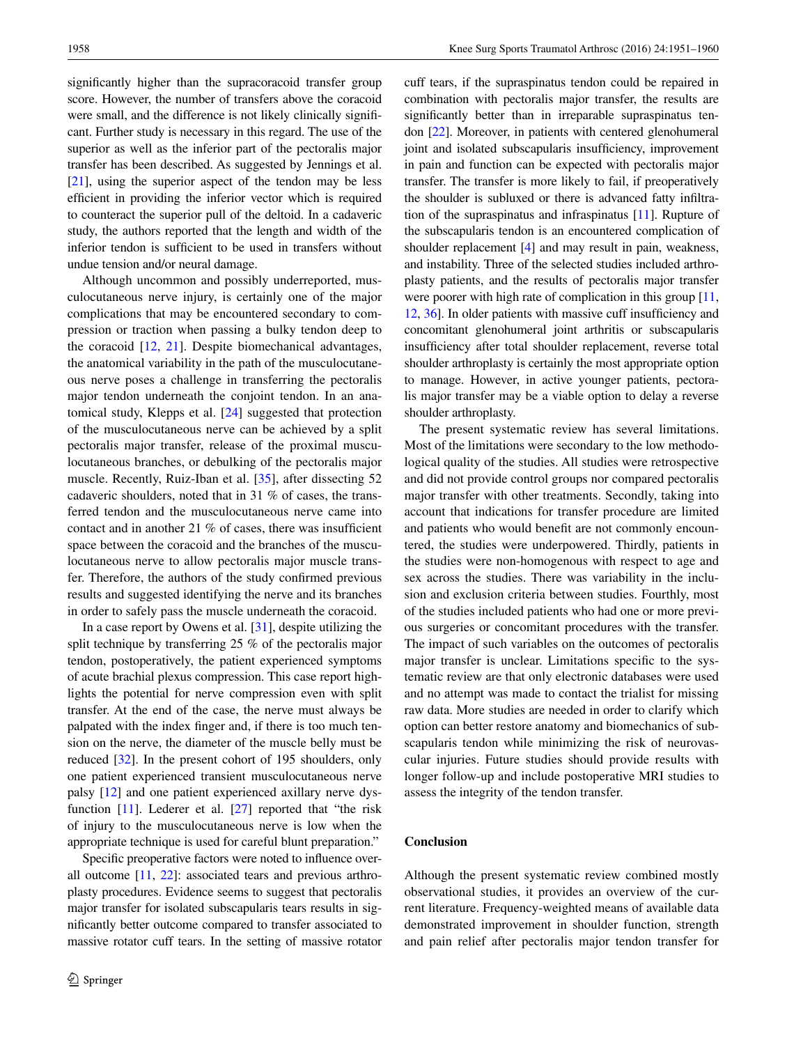significantly higher than the supracoracoid transfer group score. However, the number of transfers above the coracoid were small, and the difference is not likely clinically significant. Further study is necessary in this regard. The use of the superior as well as the inferior part of the pectoralis major transfer has been described. As suggested by Jennings et al. [21], using the superior aspect of the tendon may be less efficient in providing the inferior vector which is required to counteract the superior pull of the deltoid. In a cadaveric study, the authors reported that the length and width of the inferior tendon is sufficient to be used in transfers without undue tension and/or neural damage.

Although uncommon and possibly underreported, musculocutaneous nerve injury, is certainly one of the major complications that may be encountered secondary to compression or traction when passing a bulky tendon deep to the coracoid [12, 21]. Despite biomechanical advantages, the anatomical variability in the path of the musculocutaneous nerve poses a challenge in transferring the pectoralis major tendon underneath the conjoint tendon. In an anatomical study, Klepps et al. [24] suggested that protection of the musculocutaneous nerve can be achieved by a split pectoralis major transfer, release of the proximal musculocutaneous branches, or debulking of the pectoralis major muscle. Recently, Ruiz-Iban et al. [35], after dissecting 52 cadaveric shoulders, noted that in 31 % of cases, the transferred tendon and the musculocutaneous nerve came into contact and in another 21 % of cases, there was insufficient space between the coracoid and the branches of the musculocutaneous nerve to allow pectoralis major muscle transfer. Therefore, the authors of the study confirmed previous results and suggested identifying the nerve and its branches in order to safely pass the muscle underneath the coracoid.

In a case report by Owens et al. [31], despite utilizing the split technique by transferring 25 % of the pectoralis major tendon, postoperatively, the patient experienced symptoms of acute brachial plexus compression. This case report highlights the potential for nerve compression even with split transfer. At the end of the case, the nerve must always be palpated with the index finger and, if there is too much tension on the nerve, the diameter of the muscle belly must be reduced [32]. In the present cohort of 195 shoulders, only one patient experienced transient musculocutaneous nerve palsy [12] and one patient experienced axillary nerve dysfunction [11]. Lederer et al. [27] reported that "the risk of injury to the musculocutaneous nerve is low when the appropriate technique is used for careful blunt preparation."

Specific preoperative factors were noted to influence overall outcome [11, 22]: associated tears and previous arthroplasty procedures. Evidence seems to suggest that pectoralis major transfer for isolated subscapularis tears results in significantly better outcome compared to transfer associated to massive rotator cuff tears. In the setting of massive rotator cuff tears, if the supraspinatus tendon could be repaired in combination with pectoralis major transfer, the results are significantly better than in irreparable supraspinatus tendon [22]. Moreover, in patients with centered glenohumeral joint and isolated subscapularis insufficiency, improvement in pain and function can be expected with pectoralis major transfer. The transfer is more likely to fail, if preoperatively the shoulder is subluxed or there is advanced fatty infiltration of the supraspinatus and infraspinatus [11]. Rupture of the subscapularis tendon is an encountered complication of shoulder replacement [4] and may result in pain, weakness, and instability. Three of the selected studies included arthroplasty patients, and the results of pectoralis major transfer were poorer with high rate of complication in this group [11, 12, 36]. In older patients with massive cuff insufficiency and concomitant glenohumeral joint arthritis or subscapularis insufficiency after total shoulder replacement, reverse total shoulder arthroplasty is certainly the most appropriate option to manage. However, in active younger patients, pectoralis major transfer may be a viable option to delay a reverse shoulder arthroplasty.

The present systematic review has several limitations. Most of the limitations were secondary to the low methodological quality of the studies. All studies were retrospective and did not provide control groups nor compared pectoralis major transfer with other treatments. Secondly, taking into account that indications for transfer procedure are limited and patients who would benefit are not commonly encountered, the studies were underpowered. Thirdly, patients in the studies were non-homogenous with respect to age and sex across the studies. There was variability in the inclusion and exclusion criteria between studies. Fourthly, most of the studies included patients who had one or more previous surgeries or concomitant procedures with the transfer. The impact of such variables on the outcomes of pectoralis major transfer is unclear. Limitations specific to the systematic review are that only electronic databases were used and no attempt was made to contact the trialist for missing raw data. More studies are needed in order to clarify which option can better restore anatomy and biomechanics of subscapularis tendon while minimizing the risk of neurovascular injuries. Future studies should provide results with longer follow-up and include postoperative MRI studies to assess the integrity of the tendon transfer.

# **Conclusion**

Although the present systematic review combined mostly observational studies, it provides an overview of the current literature. Frequency-weighted means of available data demonstrated improvement in shoulder function, strength and pain relief after pectoralis major tendon transfer for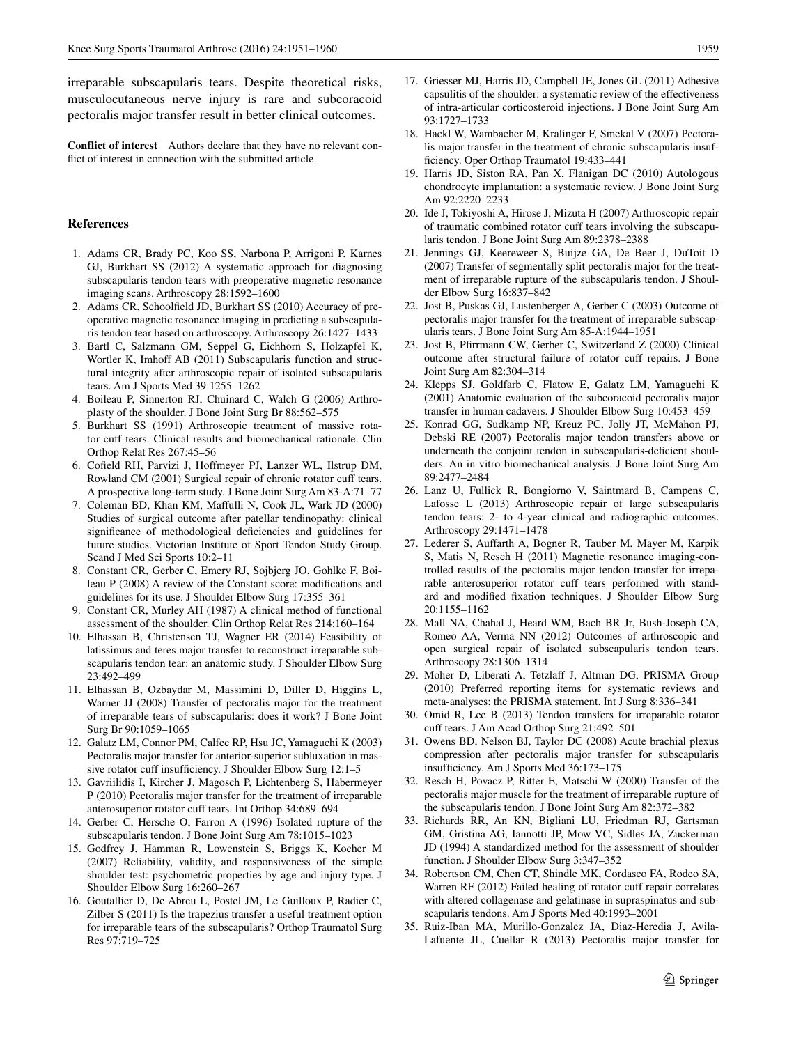irreparable subscapularis tears. Despite theoretical risks, musculocutaneous nerve injury is rare and subcoracoid pectoralis major transfer result in better clinical outcomes.

**Conflict of interest** Authors declare that they have no relevant conflict of interest in connection with the submitted article.

# **References**

- 1. Adams CR, Brady PC, Koo SS, Narbona P, Arrigoni P, Karnes GJ, Burkhart SS (2012) A systematic approach for diagnosing subscapularis tendon tears with preoperative magnetic resonance imaging scans. Arthroscopy 28:1592–1600
- 2. Adams CR, Schoolfield JD, Burkhart SS (2010) Accuracy of preoperative magnetic resonance imaging in predicting a subscapularis tendon tear based on arthroscopy. Arthroscopy 26:1427–1433
- 3. Bartl C, Salzmann GM, Seppel G, Eichhorn S, Holzapfel K, Wortler K, Imhoff AB (2011) Subscapularis function and structural integrity after arthroscopic repair of isolated subscapularis tears. Am J Sports Med 39:1255–1262
- 4. Boileau P, Sinnerton RJ, Chuinard C, Walch G (2006) Arthroplasty of the shoulder. J Bone Joint Surg Br 88:562–575
- 5. Burkhart SS (1991) Arthroscopic treatment of massive rotator cuff tears. Clinical results and biomechanical rationale. Clin Orthop Relat Res 267:45–56
- 6. Cofield RH, Parvizi J, Hoffmeyer PJ, Lanzer WL, Ilstrup DM, Rowland CM (2001) Surgical repair of chronic rotator cuff tears. A prospective long-term study. J Bone Joint Surg Am 83-A:71–77
- 7. Coleman BD, Khan KM, Maffulli N, Cook JL, Wark JD (2000) Studies of surgical outcome after patellar tendinopathy: clinical significance of methodological deficiencies and guidelines for future studies. Victorian Institute of Sport Tendon Study Group. Scand J Med Sci Sports 10:2–11
- 8. Constant CR, Gerber C, Emery RJ, Sojbjerg JO, Gohlke F, Boileau P (2008) A review of the Constant score: modifications and guidelines for its use. J Shoulder Elbow Surg 17:355–361
- 9. Constant CR, Murley AH (1987) A clinical method of functional assessment of the shoulder. Clin Orthop Relat Res 214:160–164
- 10. Elhassan B, Christensen TJ, Wagner ER (2014) Feasibility of latissimus and teres major transfer to reconstruct irreparable subscapularis tendon tear: an anatomic study. J Shoulder Elbow Surg 23:492–499
- 11. Elhassan B, Ozbaydar M, Massimini D, Diller D, Higgins L, Warner JJ (2008) Transfer of pectoralis major for the treatment of irreparable tears of subscapularis: does it work? J Bone Joint Surg Br 90:1059–1065
- 12. Galatz LM, Connor PM, Calfee RP, Hsu JC, Yamaguchi K (2003) Pectoralis major transfer for anterior-superior subluxation in massive rotator cuff insufficiency. J Shoulder Elbow Surg 12:1–5
- 13. Gavriilidis I, Kircher J, Magosch P, Lichtenberg S, Habermeyer P (2010) Pectoralis major transfer for the treatment of irreparable anterosuperior rotator cuff tears. Int Orthop 34:689–694
- 14. Gerber C, Hersche O, Farron A (1996) Isolated rupture of the subscapularis tendon. J Bone Joint Surg Am 78:1015–1023
- 15. Godfrey J, Hamman R, Lowenstein S, Briggs K, Kocher M (2007) Reliability, validity, and responsiveness of the simple shoulder test: psychometric properties by age and injury type. J Shoulder Elbow Surg 16:260–267
- 16. Goutallier D, De Abreu L, Postel JM, Le Guilloux P, Radier C, Zilber S (2011) Is the trapezius transfer a useful treatment option for irreparable tears of the subscapularis? Orthop Traumatol Surg Res 97:719–725
- 17. Griesser MJ, Harris JD, Campbell JE, Jones GL (2011) Adhesive capsulitis of the shoulder: a systematic review of the effectiveness of intra-articular corticosteroid injections. J Bone Joint Surg Am 93:1727–1733
- 18. Hackl W, Wambacher M, Kralinger F, Smekal V (2007) Pectoralis major transfer in the treatment of chronic subscapularis insufficiency. Oper Orthop Traumatol 19:433–441
- 19. Harris JD, Siston RA, Pan X, Flanigan DC (2010) Autologous chondrocyte implantation: a systematic review. J Bone Joint Surg Am 92:2220–2233
- 20. Ide J, Tokiyoshi A, Hirose J, Mizuta H (2007) Arthroscopic repair of traumatic combined rotator cuff tears involving the subscapularis tendon. J Bone Joint Surg Am 89:2378–2388
- 21. Jennings GJ, Keereweer S, Buijze GA, De Beer J, DuToit D (2007) Transfer of segmentally split pectoralis major for the treatment of irreparable rupture of the subscapularis tendon. J Shoulder Elbow Surg 16:837–842
- 22. Jost B, Puskas GJ, Lustenberger A, Gerber C (2003) Outcome of pectoralis major transfer for the treatment of irreparable subscapularis tears. J Bone Joint Surg Am 85-A:1944–1951
- 23. Jost B, Pfirrmann CW, Gerber C, Switzerland Z (2000) Clinical outcome after structural failure of rotator cuff repairs. J Bone Joint Surg Am 82:304–314
- 24. Klepps SJ, Goldfarb C, Flatow E, Galatz LM, Yamaguchi K (2001) Anatomic evaluation of the subcoracoid pectoralis major transfer in human cadavers. J Shoulder Elbow Surg 10:453–459
- 25. Konrad GG, Sudkamp NP, Kreuz PC, Jolly JT, McMahon PJ, Debski RE (2007) Pectoralis major tendon transfers above or underneath the conjoint tendon in subscapularis-deficient shoulders. An in vitro biomechanical analysis. J Bone Joint Surg Am 89:2477–2484
- 26. Lanz U, Fullick R, Bongiorno V, Saintmard B, Campens C, Lafosse L (2013) Arthroscopic repair of large subscapularis tendon tears: 2- to 4-year clinical and radiographic outcomes. Arthroscopy 29:1471–1478
- 27. Lederer S, Auffarth A, Bogner R, Tauber M, Mayer M, Karpik S, Matis N, Resch H (2011) Magnetic resonance imaging-controlled results of the pectoralis major tendon transfer for irreparable anterosuperior rotator cuff tears performed with standard and modified fixation techniques. J Shoulder Elbow Surg 20:1155–1162
- 28. Mall NA, Chahal J, Heard WM, Bach BR Jr, Bush-Joseph CA, Romeo AA, Verma NN (2012) Outcomes of arthroscopic and open surgical repair of isolated subscapularis tendon tears. Arthroscopy 28:1306–1314
- 29. Moher D, Liberati A, Tetzlaff J, Altman DG, PRISMA Group (2010) Preferred reporting items for systematic reviews and meta-analyses: the PRISMA statement. Int J Surg 8:336–341
- 30. Omid R, Lee B (2013) Tendon transfers for irreparable rotator cuff tears. J Am Acad Orthop Surg 21:492–501
- 31. Owens BD, Nelson BJ, Taylor DC (2008) Acute brachial plexus compression after pectoralis major transfer for subscapularis insufficiency. Am J Sports Med 36:173–175
- 32. Resch H, Povacz P, Ritter E, Matschi W (2000) Transfer of the pectoralis major muscle for the treatment of irreparable rupture of the subscapularis tendon. J Bone Joint Surg Am 82:372–382
- 33. Richards RR, An KN, Bigliani LU, Friedman RJ, Gartsman GM, Gristina AG, Iannotti JP, Mow VC, Sidles JA, Zuckerman JD (1994) A standardized method for the assessment of shoulder function. J Shoulder Elbow Surg 3:347–352
- 34. Robertson CM, Chen CT, Shindle MK, Cordasco FA, Rodeo SA, Warren RF (2012) Failed healing of rotator cuff repair correlates with altered collagenase and gelatinase in supraspinatus and subscapularis tendons. Am J Sports Med 40:1993–2001
- 35. Ruiz-Iban MA, Murillo-Gonzalez JA, Diaz-Heredia J, Avila-Lafuente JL, Cuellar R (2013) Pectoralis major transfer for